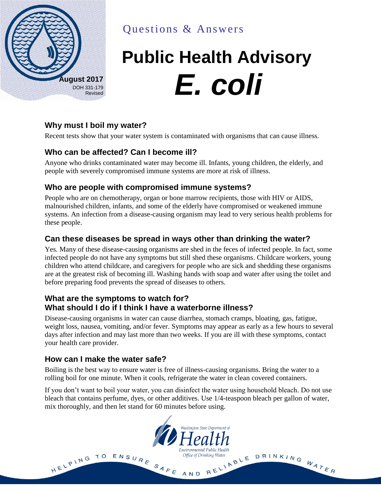

Questions & Answers

# **Public Health Advisory**  $\mathbf{E}$ , **coli**

# **Why must I boil my water?**

Recent tests show that your water system is contaminated with organisms that can cause illness.

## **Who can be affected? Can I become ill?**

Anyone who drinks contaminated water may become ill. Infants, young children, the elderly, and people with severely compromised immune systems are more at risk of illness.

#### **Who are people with compromised immune systems?**

People who are on chemotherapy, organ or bone marrow recipients, those with HIV or AIDS, malnourished children, infants, and some of the elderly have compromised or weakened immune systems. An infection from a disease-causing organism may lead to very serious health problems for these people.

## **Can these diseases be spread in ways other than drinking the water?**

Yes. Many of these disease-causing organisms are shed in the feces of infected people. In fact, some infected people do not have any symptoms but still shed these organisms. Childcare workers, young children who attend childcare, and caregivers for people who are sick and shedding these organisms are at the greatest risk of becoming ill. Washing hands with soap and water after using the toilet and before preparing food prevents the spread of diseases to others.

#### **What are the symptoms to watch for? What should I do if I think I have a waterborne illness?**

Disease-causing organisms in water can cause diarrhea, stomach cramps, bloating, gas, fatigue, weight loss, nausea, vomiting, and/or fever. Symptoms may appear as early as a few hours to several days after infection and may last more than two weeks. If you are ill with these symptoms, contact your health care provider.

#### **How can I make the water safe?**

Boiling is the best way to ensure water is free of illness-causing organisms. Bring the water to a rolling boil for one minute. When it cools, refrigerate the water in clean covered containers.

If you don't want to boil your water, you can disinfect the water using household bleach. Do not use bleach that contains perfume, dyes, or other additives. Use 1/4-teaspoon bleach per gallon of water, mix thoroughly, and then let stand for 60 minutes before using.